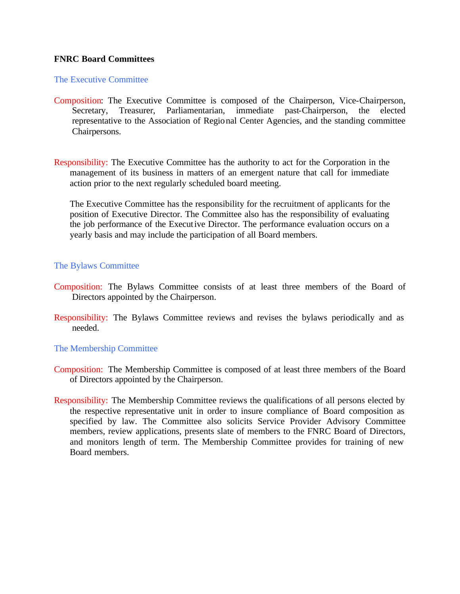# **FNRC Board Committees**

#### The Executive Committee

- Composition: The Executive Committee is composed of the Chairperson, Vice-Chairperson, Secretary, Treasurer, Parliamentarian, immediate past-Chairperson, the elected representative to the Association of Regional Center Agencies, and the standing committee Chairpersons.
- Responsibility: The Executive Committee has the authority to act for the Corporation in the management of its business in matters of an emergent nature that call for immediate action prior to the next regularly scheduled board meeting.

The Executive Committee has the responsibility for the recruitment of applicants for the position of Executive Director. The Committee also has the responsibility of evaluating the job performance of the Executive Director. The performance evaluation occurs on a yearly basis and may include the participation of all Board members.

# The Bylaws Committee

- Composition: The Bylaws Committee consists of at least three members of the Board of Directors appointed by the Chairperson.
- Responsibility: The Bylaws Committee reviews and revises the bylaws periodically and as needed.

# The Membership Committee

- Composition: The Membership Committee is composed of at least three members of the Board of Directors appointed by the Chairperson.
- Responsibility: The Membership Committee reviews the qualifications of all persons elected by the respective representative unit in order to insure compliance of Board composition as specified by law. The Committee also solicits Service Provider Advisory Committee members, review applications, presents slate of members to the FNRC Board of Directors, and monitors length of term. The Membership Committee provides for training of new Board members.